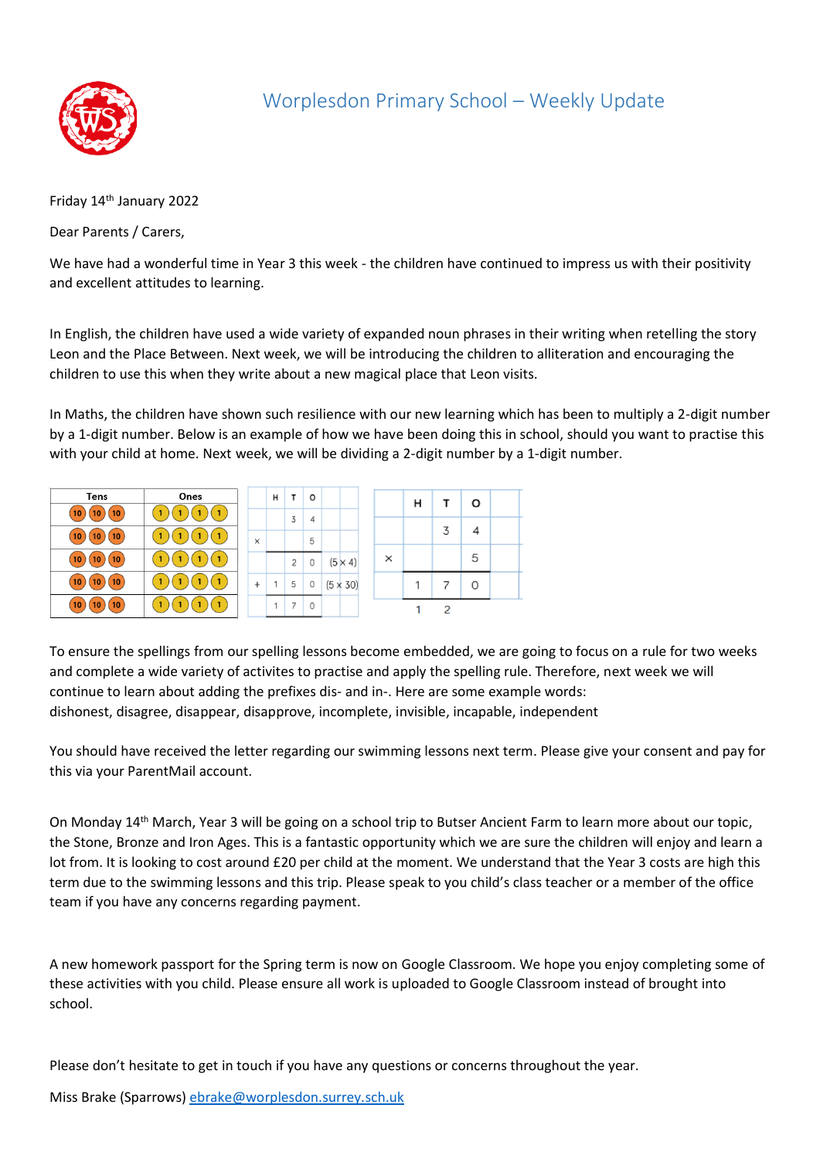

## Worplesdon Primary School – Weekly Update

Friday 14th January 2022

Dear Parents / Carers,

We have had a wonderful time in Year 3 this week - the children have continued to impress us with their positivity and excellent attitudes to learning.

In English, the children have used a wide variety of expanded noun phrases in their writing when retelling the story Leon and the Place Between. Next week, we will be introducing the children to alliteration and encouraging the children to use this when they write about a new magical place that Leon visits.

In Maths, the children have shown such resilience with our new learning which has been to multiply a 2-digit number by a 1-digit number. Below is an example of how we have been doing this in school, should you want to practise this with your child at home. Next week, we will be dividing a 2-digit number by a 1-digit number.

| <b>Tens</b>    | Ones |   | н | т              | $\circ$ |                 |   | н | т | o |  |
|----------------|------|---|---|----------------|---------|-----------------|---|---|---|---|--|
| 10<br>10<br>10 |      |   |   | 3              | 4       |                 |   |   |   |   |  |
| 10<br>10<br>10 |      | × |   |                | 5       |                 |   |   | 3 | ⊿ |  |
| 10<br>10<br>10 |      |   |   | $\overline{c}$ | 0       | $(5 \times 4)$  | × |   |   | 5 |  |
| 10<br>10<br>10 |      |   |   | 5              | 0       | $(5 \times 30)$ |   |   |   | 0 |  |
| 10<br>10<br>10 |      |   |   | -              | 0       |                 |   |   | 2 |   |  |

To ensure the spellings from our spelling lessons become embedded, we are going to focus on a rule for two weeks and complete a wide variety of activites to practise and apply the spelling rule. Therefore, next week we will continue to learn about adding the prefixes dis- and in-. Here are some example words: dishonest, disagree, disappear, disapprove, incomplete, invisible, incapable, independent

You should have received the letter regarding our swimming lessons next term. Please give your consent and pay for this via your ParentMail account.

On Monday 14th March, Year 3 will be going on a school trip to Butser Ancient Farm to learn more about our topic, the Stone, Bronze and Iron Ages. This is a fantastic opportunity which we are sure the children will enjoy and learn a lot from. It is looking to cost around £20 per child at the moment. We understand that the Year 3 costs are high this term due to the swimming lessons and this trip. Please speak to you child's class teacher or a member of the office team if you have any concerns regarding payment.

A new homework passport for the Spring term is now on Google Classroom. We hope you enjoy completing some of these activities with you child. Please ensure all work is uploaded to Google Classroom instead of brought into school.

Please don't hesitate to get in touch if you have any questions or concerns throughout the year.

Miss Brake (Sparrows) [ebrake@worplesdon.surrey.sch.uk](mailto:ebrake@worplesdon.surrey.sch.uk)